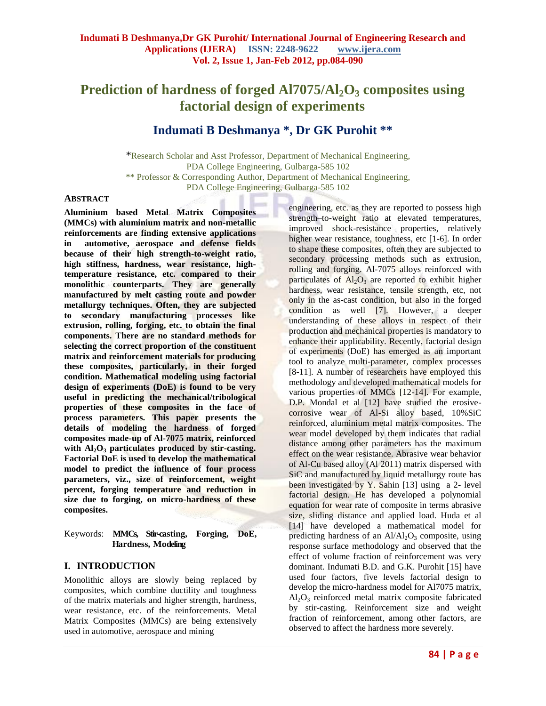# **Prediction of hardness of forged Al7075/Al2O<sup>3</sup> composites using factorial design of experiments**

# **Indumati B Deshmanya \*, Dr GK Purohit \*\***

\*Research Scholar and Asst Professor, Department of Mechanical Engineering, PDA College Engineering, Gulbarga-585 102 \*\* Professor & Corresponding Author, Department of Mechanical Engineering, PDA College Engineering, Gulbarga-585 102

#### **ABSTRACT**

**Aluminium based Metal Matrix Composites (MMCs) with aluminium matrix and non-metallic reinforcements are finding extensive applications in automotive, aerospace and defense fields because of their high strength-to-weight ratio, high stiffness, hardness, wear resistance, hightemperature resistance, etc. compared to their monolithic counterparts. They are generally manufactured by melt casting route and powder metallurgy techniques. Often, they are subjected to secondary manufacturing processes like extrusion, rolling, forging, etc. to obtain the final components. There are no standard methods for selecting the correct proportion of the constituent matrix and reinforcement materials for producing these composites, particularly, in their forged condition. Mathematical modeling using factorial design of experiments (DoE) is found to be very useful in predicting the mechanical/tribological properties of these composites in the face of process parameters. This paper presents the details of modeling the hardness of forged composites made-up of Al-7075 matrix, reinforced with Al2O<sup>3</sup> particulates produced by stir-casting. Factorial DoE is used to develop the mathematical model to predict the influence of four process parameters, viz., size of reinforcement, weight percent, forging temperature and reduction in size due to forging, on micro-hardness of these composites.**

#### Keywords: **MMCs, Stir-casting, Forging, DoE, Hardness, Modeling**

#### **I. INTRODUCTION**

Monolithic alloys are slowly being replaced by composites, which combine ductility and toughness of the matrix materials and higher strength, hardness, wear resistance, etc. of the reinforcements. Metal Matrix Composites (MMCs) are being extensively used in automotive, aerospace and mining

engineering, etc. as they are reported to possess high strength–to-weight ratio at elevated temperatures, improved shock-resistance properties, relatively higher wear resistance, toughness, etc [1-6]. In order to shape these composites, often they are subjected to secondary processing methods such as extrusion, rolling and forging. Al-7075 alloys reinforced with particulates of  $Al_2O_3$  are reported to exhibit higher hardness, wear resistance, tensile strength, etc, not only in the as-cast condition, but also in the forged condition as well [7]. However, a deeper understanding of these alloys in respect of their production and mechanical properties is mandatory to enhance their applicability. Recently, factorial design of experiments (DoE) has emerged as an important tool to analyze multi-parameter, complex processes [8-11]. A number of researchers have employed this methodology and developed mathematical models for various properties of MMCs [12-14]. For example, D.P. Mondal et al [12] have studied the erosivecorrosive wear of Al-Si alloy based, 10%SiC reinforced, aluminium metal matrix composites. The wear model developed by them indicates that radial distance among other parameters has the maximum effect on the wear resistance. Abrasive wear behavior of Al-Cu based alloy (Al 2011) matrix dispersed with SiC and manufactured by liquid metallurgy route has been investigated by Y. Sahin [13] using a 2- level factorial design. He has developed a polynomial equation for wear rate of composite in terms abrasive size, sliding distance and applied load. Huda et al [14] have developed a mathematical model for predicting hardness of an  $Al/Al_2O_3$  composite, using response surface methodology and observed that the effect of volume fraction of reinforcement was very dominant. Indumati B.D. and G.K. Purohit [15] have used four factors, five levels factorial design to develop the micro-hardness model for Al7075 matrix,  $Al_2O_3$  reinforced metal matrix composite fabricated by stir-casting. Reinforcement size and weight fraction of reinforcement, among other factors, are observed to affect the hardness more severely.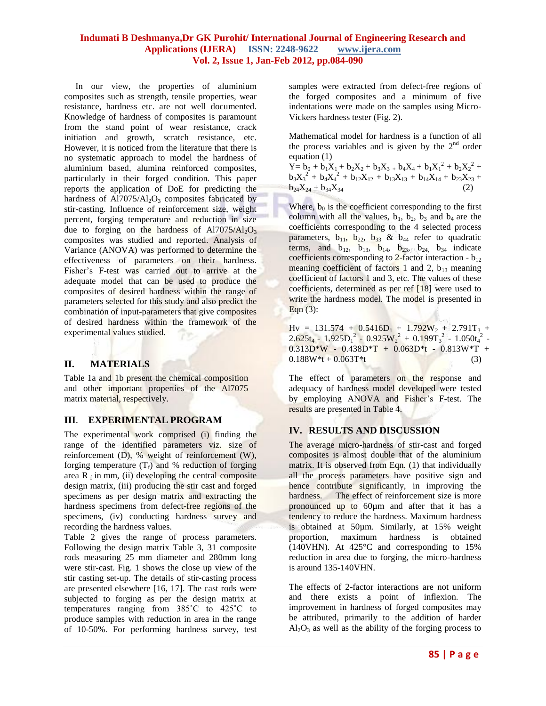#### **Indumati B Deshmanya,Dr GK Purohit/ International Journal of Engineering Research and Applications (IJERA) ISSN: 2248-9622 www.ijera.com Vol. 2, Issue 1, Jan-Feb 2012, pp.084-090**

 In our view, the properties of aluminium composites such as strength, tensile properties, wear resistance, hardness etc. are not well documented. Knowledge of hardness of composites is paramount from the stand point of wear resistance, crack initiation and growth, scratch resistance, etc. However, it is noticed from the literature that there is no systematic approach to model the hardness of aluminium based, alumina reinforced composites, particularly in their forged condition. This paper reports the application of DoE for predicting the hardness of  $A17075/A1<sub>2</sub>O<sub>3</sub>$  composites fabricated by stir-casting. Influence of reinforcement size, weight percent, forging temperature and reduction in size due to forging on the hardness of  $A17075/A1_2O_3$ composites was studied and reported. Analysis of Variance (ANOVA) was performed to determine the effectiveness of parameters on their hardness. Fisher's F-test was carried out to arrive at the adequate model that can be used to produce the composites of desired hardness within the range of parameters selected for this study and also predict the combination of input-parameters that give composites of desired hardness within the framework of the experimental values studied.

#### **II. MATERIALS**

Table 1a and 1b present the chemical composition and other important properties of the Al7075 matrix material, respectively.

#### **III**. **EXPERIMENTAL PROGRAM**

The experimental work comprised (i) finding the range of the identified parameters viz. size of reinforcement (D), % weight of reinforcement (W), forging temperature  $(T_f)$  and % reduction of forging area  $R_f$  in mm, (ii) developing the central composite design matrix, (iii) producing the stir cast and forged specimens as per design matrix and extracting the hardness specimens from defect-free regions of the specimens, (iv) conducting hardness survey and recording the hardness values.

Table 2 gives the range of process parameters. Following the design matrix Table 3, 31 composite rods measuring 25 mm diameter and 280mm long were stir-cast. Fig. 1 shows the close up view of the stir casting set-up. The details of stir-casting process are presented elsewhere [16, 17]. The cast rods were subjected to forging as per the design matrix at temperatures ranging from 385˚C to 425˚C to produce samples with reduction in area in the range of 10-50%. For performing hardness survey, test samples were extracted from defect-free regions of the forged composites and a minimum of five indentations were made on the samples using Micro-Vickers hardness tester (Fig. 2).

Mathematical model for hardness is a function of all the process variables and is given by the  $2<sup>nd</sup>$  order equation (1)

 $\overline{Y} = b_0 + b_1 X_1 + b_2 X_2 + b_3 X_3 + b_4 X_4 + b_1 X_1^2 + b_2 X_2^2 +$  $b_3X_3^2 + b_4X_4^2 + b_{12}X_{12} + b_{13}X_{13} + b_{14}X_{14} + b_{23}X_{23} +$  $b_{24}X_{24} + b_{34}X_{34}$ 

Where,  $b_0$  is the coefficient corresponding to the first column with all the values,  $b_1$ ,  $b_2$ ,  $b_3$  and  $b_4$  are the coefficients corresponding to the 4 selected process parameters,  $b_{11}$ ,  $b_{22}$ ,  $b_{33}$  &  $b_{44}$  refer to quadratic terms, and  $b_{12}$ ,  $b_{13}$ ,  $b_{14}$ ,  $b_{23}$ ,  $b_{24}$ ,  $b_{34}$  indicate coefficients corresponding to  $2$ -factor interaction -  $b_{12}$ meaning coefficient of factors 1 and 2,  $b_{13}$  meaning coefficient of factors 1 and 3, etc. The values of these coefficients, determined as per ref [18] were used to write the hardness model. The model is presented in Eqn (3):

 $Hv = 131.574 + 0.5416D_1 + 1.792W_2 + 2.791T_3 +$  $2.625t_4 - 1.925D_1^2 - 0.925W_2^2 + 0.199T_3^2 - 1.050t_4^2$  - $0.313D*W - 0.438D*T + 0.063D*t - 0.813W*T +$  $0.188W^*t + 0.063T^*t$  (3)

The effect of parameters on the response and adequacy of hardness model developed were tested by employing ANOVA and Fisher's F-test. The results are presented in Table 4.

#### **IV. RESULTS AND DISCUSSION**

The average micro-hardness of stir-cast and forged composites is almost double that of the aluminium matrix. It is observed from Eqn. (1) that individually all the process parameters have positive sign and hence contribute significantly, in improving the hardness. The effect of reinforcement size is more pronounced up to 60µm and after that it has a tendency to reduce the hardness. Maximum hardness is obtained at 50µm. Similarly, at 15% weight proportion, maximum hardness is obtained (140VHN). At 425°C and corresponding to 15% reduction in area due to forging, the micro-hardness is around 135-140VHN.

The effects of 2-factor interactions are not uniform and there exists a point of inflexion. The improvement in hardness of forged composites may be attributed, primarily to the addition of harder  $Al_2O_3$  as well as the ability of the forging process to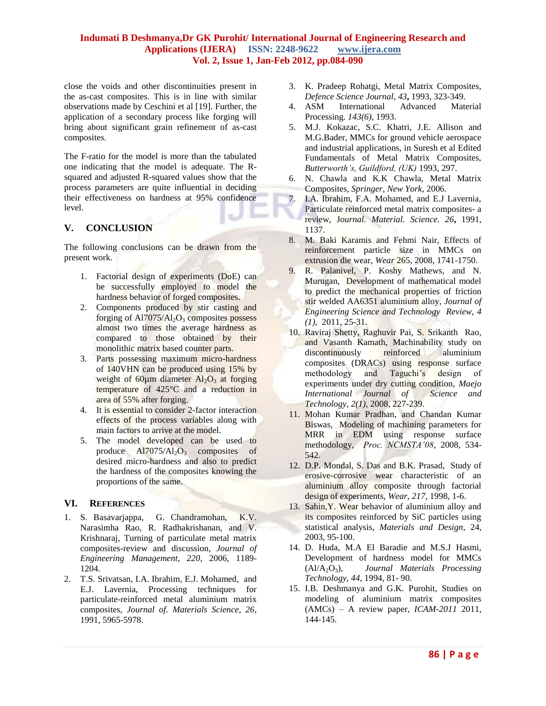#### **Indumati B Deshmanya,Dr GK Purohit/ International Journal of Engineering Research and Applications (IJERA) ISSN: 2248-9622 www.ijera.com Vol. 2, Issue 1, Jan-Feb 2012, pp.084-090**

ti.

close the voids and other discontinuities present in the as-cast composites. This is in line with similar observations made by Ceschini et al [19]. Further, the application of a secondary process like forging will bring about significant grain refinement of as-cast composites.

The F-ratio for the model is more than the tabulated one indicating that the model is adequate. The Rsquared and adjusted R-squared values show that the process parameters are quite influential in deciding their effectiveness on hardness at 95% confidence level.

## **V. CONCLUSION**

The following conclusions can be drawn from the present work.

- 1. Factorial design of experiments (DoE) can be successfully employed to model the hardness behavior of forged composites.
- 2. Components produced by stir casting and forging of  $AI7075/Al<sub>2</sub>O<sub>3</sub>$  composites possess almost two times the average hardness as compared to those obtained by their monolithic matrix based counter parts.
- 3. Parts possessing maximum micro-hardness of 140VHN can be produced using 15% by weight of 60 $\mu$ m diameter Al<sub>2</sub>O<sub>3</sub> at forging temperature of 425°C and a reduction in area of 55% after forging.
- 4. It is essential to consider 2-factor interaction effects of the process variables along with main factors to arrive at the model.
- 5. The model developed can be used to produce  $AI7075/Al<sub>2</sub>O<sub>3</sub>$  composites of desired micro-hardness and also to predict the hardness of the composites knowing the proportions of the same.

#### **VI. REFERENCES**

- 1. S. Basavarjappa, G. Chandramohan, K.V. Narasimha Rao, R. Radhakrishanan, and V. Krishnaraj, Turning of particulate metal matrix composites-review and discussion*, Journal of Engineering Management, 220,* 2006, 1189- 1204.
- 2. T.S. Srivatsan, I.A. Ibrahim, E.J. Mohamed, and E.J. Lavernia, Processing techniques for particulate-reinforced metal aluminium matrix composites, *Journal of. Materials Science, 26*, 1991, 5965-5978.
- 3. K. Pradeep Rohatgi, Metal Matrix Composites, *Defence Science Journal, 43***,** 1993, 323-349.
- 4. ASM International Advanced Material Processing. *143(6)*, 1993.
- 5. M.J. Kokazac, S.C. Khatri, J.E. Allison and M.G.Bader, MMCs for ground vehicle aerospace and industrial applications, in Suresh et al Edited Fundamentals of Metal Matrix Composites, *Butterworth's, Guildford, (UK)* 1993, 297.
- 6. N. Chawla and K.K Chawla, Metal Matrix Composites, *Springer, New York,* 2006.
- 7. I.A. Ibrahim, F.A. Mohamed, and E.J Lavernia, Particulate reinforced metal matrix composites- a review, J*ournal. Material. Science. 26***,** 1991, 1137.
- 8. M. Baki Karamis and Fehmi Nair, Effects of reinforcement particle size in MMCs on extrusion die wear, *Wear* 265, 2008, 1741-1750.
- 9. R. Palanivel, P. Koshy Mathews, and N. Murugan, Development of mathematical model to predict the mechanical properties of friction stir welded AA6351 aluminium alloy, *Journal of Engineering Science and Technology Review*, *4 (1),* 2011, 25-31.
- 10. Raviraj Shetty, Raghuvir Pai, S. Srikanth Rao, and Vasanth Kamath, Machinability study on<br>discontinuously reinforced aluminium discontinuously reinforced aluminium composites (DRACs) using response surface methodology and Taguchi's design of experiments under dry cutting condition, *Maejo International Journal of Science and Technology, 2(1)*, 2008, 227-239.
- 11. Mohan Kumar Pradhan, and Chandan Kumar Biswas, Modeling of machining parameters for MRR in EDM using response surface methodology, *Proc. NCMSTA'08*, 2008, 534- 542.
- 12. D.P. Mondal, S. Das and B.K. Prasad, Study of erosive-corrosive wear characteristic of an aluminium alloy composite through factorial design of experiments, *Wear*, *217*, 1998, 1-6.
- 13. Sahin,Y. Wear behavior of aluminium alloy and its composites reinforced by SiC particles using statistical analysis, *Materials and Design,* 24, 2003, 95-100.
- 14. D. Huda, M.A El Baradie and M.S.J Hasmi, Development of hardness model for MMCs (Al/A2O3), *Journal Materials Processing Technology*, *44*, 1994, 81- 90.
- 15. I.B. Deshmanya and G.K. Purohit, Studies on modeling of aluminium matrix composites (AMCs) – A review paper, *ICAM-2011* 2011, 144-145*.*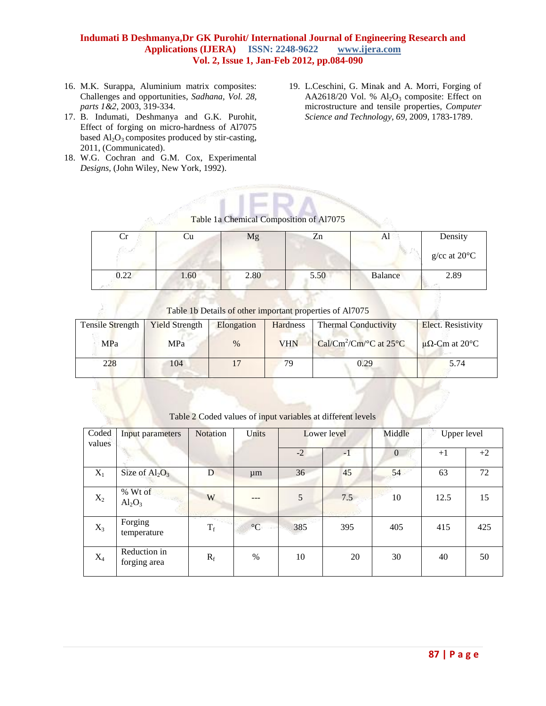#### **Indumati B Deshmanya,Dr GK Purohit/ International Journal of Engineering Research and Applications (IJERA) ISSN: 2248-9622 www.ijera.com Vol. 2, Issue 1, Jan-Feb 2012, pp.084-090**

- 16. M.K. Surappa, Aluminium matrix composites: Challenges and opportunities, *Sadhana, Vol. 28, parts 1&2*, 2003, 319-334.
- 17. B. Indumati, Deshmanya and G.K. Purohit, Effect of forging on micro-hardness of Al7075 based  $\text{Al}_2\text{O}_3$  composites produced by stir-casting, 2011, (Communicated).
- 18. W.G. Cochran and G.M. Cox, Experimental *Designs,* (John Wiley, New York, 1992).
- 19. L.Ceschini, G. Minak and A. Morri, Forging of AA2618/20 Vol. %  $Al_2O_3$  composite: Effect on microstructure and tensile properties, *Computer Science and Technology, 69*, 2009, 1783-1789.

# Table 1a Chemical Composition of Al7075

| Ů    | Сu   | Mg   | Zn   |         | Density                    |
|------|------|------|------|---------|----------------------------|
|      |      |      |      |         | $g$ /cc at 20 $^{\circ}$ C |
| 0.22 | 1.60 | 2.80 | 5.50 | Balance | 2.89                       |

Table 1b Details of other important properties of Al7075

| Tensile Strength | <b>Yield Strength</b> | Elongation | Hardness   | <b>Thermal Conductivity</b>                                    | <b>Elect.</b> Resistivity |
|------------------|-----------------------|------------|------------|----------------------------------------------------------------|---------------------------|
| MPa              | <b>MPa</b>            | $\%$       | <b>VHN</b> | Cal/Cm <sup>2</sup> /Cm/ $\rm ^{\circ}C$ at 25 $\rm ^{\circ}C$ | $\mu\Omega$ -Cm at 20°C   |
| 228              | 104                   |            | 70         | 0.29                                                           | 5.74                      |

#### Table 2 Coded values of input variables at different levels

| Coded<br>values | Input parameters             | <b>Notation</b> | Units           |      | Lower level |                | Upper level |      |
|-----------------|------------------------------|-----------------|-----------------|------|-------------|----------------|-------------|------|
|                 |                              |                 |                 | $-2$ | $-1$        | $\overline{0}$ | $+1$        | $+2$ |
| $X_1$           | Size of $Al_2O_3$            | D               | $\mu$ m         | 36   | 45          | 54             | 63          | 72   |
| $X_2$           | % Wt of<br>$Al_2O_3$         | W               |                 | 5    | 7.5         | 10             | 12.5        | 15   |
| $X_3$           | Forging<br>temperature       | $\rm T_{f}$     | $\rm ^{\circ}C$ | 385  | 395         | 405            | 415         | 425  |
| $X_4$           | Reduction in<br>forging area | $R_f$           | $\%$            | 10   | 20          | 30             | 40          | 50   |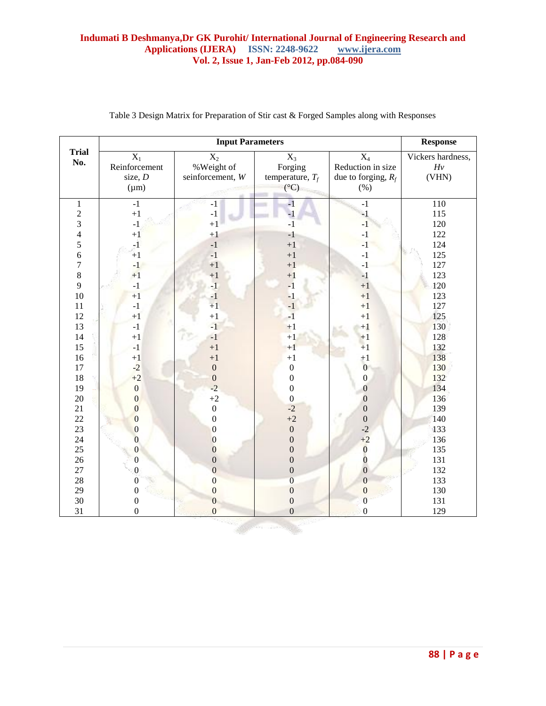### **Indumati B Deshmanya,Dr GK Purohit/ International Journal of Engineering Research and Applications (IJERA)** ISSN: 2248-9622 www.ijera.com Applications (IJERA) **ISSN: 2248-9622 Vol. 2, Issue 1, Jan-Feb 2012, pp.084-090**

|                |                  | <b>Response</b>  |                    |                       |                   |
|----------------|------------------|------------------|--------------------|-----------------------|-------------------|
| <b>Trial</b>   | $X_1$            | $\overline{X_2}$ | $\overline{X_3}$   | $\overline{X_4}$      | Vickers hardness, |
| No.            | Reinforcement    | %Weight of       | Forging            | Reduction in size     | $H\nu$            |
|                | size, $D$        | seinforcement, W | temperature, $T_f$ | due to forging, $R_f$ | (VHN)             |
|                | $(\mu m)$        |                  | $(^{\circ}C)$      | (% )                  |                   |
| $\,1$          | $-1$             | $-1$             | $-1$               | $-1$                  | 110               |
| $\sqrt{2}$     | $+1$             | $^{\rm -1}$      | $-1$               | $-1$                  | 115               |
| $\overline{3}$ | $^{\rm -1}$      | $+1$             | $-1$               | $-1$                  | 120               |
| $\overline{4}$ | $+1$             | $+1$             | $-1$               | $-1$                  | 122               |
| 5              | $-1$             | $-1$             | $+1$               | $-1$                  | 124               |
| 6              | $+1$             | $-1$             | $+1$               | $^{\rm -1}$           | 125               |
| $\overline{7}$ | $-1$             | $+1$             | $+1$               | $-1$                  | 127               |
| 8              | $+1$             | $+1$             | $+1$               | $-1$                  | 123               |
| 9              | $-1$             | $-1$             | $-1$               | $\bf +1$              | 120               |
| 10             | $+1$             | $-1$             | $-1$               | $+1$                  | 123               |
| 11             | $-1$             | $+1$             | $-1$               | $+1$                  | 127               |
| 12             | $+1$             | $+1$             | $-1$               | $+1$                  | 125               |
| 13             | $-1$             | $-1$             | $+1$               | $+1$                  | 130               |
| 14             | $+1$             | $-1$             | $+1$               | $+1$                  | 128               |
| 15             | $-1$             | $+1$             | $+1$               | $+1$                  | 132               |
| 16             | $+1$             | $+1$             | $+1$               | $+1$                  | 138               |
| $17\,$         | $-2$             | $\boldsymbol{0}$ | $\boldsymbol{0}$   | $\overline{0}$        | 130               |
| 18             | $+2$             | $\boldsymbol{0}$ | $\boldsymbol{0}$   | $\overline{0}$        | 132               |
| 19             | $\boldsymbol{0}$ | $-2$             | $\boldsymbol{0}$   | $\boldsymbol{0}$      | 134               |
| 20             | $\boldsymbol{0}$ | $+2$             | $\boldsymbol{0}$   | $\boldsymbol{0}$      | 136               |
| 21             | $\mathbf{0}$     | $\boldsymbol{0}$ | $-2$               | $\boldsymbol{0}$      | 139               |
| 22             | $\overline{0}$   | $\boldsymbol{0}$ | $+2$               | $\boldsymbol{0}$      | 140               |
| 23             | $\boldsymbol{0}$ | $\mathbf{0}$     | $\boldsymbol{0}$   | $-2$                  | 133               |
| 24             | $\overline{0}$   | $\boldsymbol{0}$ | $\boldsymbol{0}$   | $+2$                  | 136               |
| 25             | $\overline{0}$   | $\boldsymbol{0}$ | $\mathbf{0}$       | $\bf{0}$              | 135               |
| 26             | $\mathbf{0}$     | $\boldsymbol{0}$ | $\overline{0}$     | $\overline{0}$        | 131               |
| 27             | $\boldsymbol{0}$ | $\mathbf{0}$     | $\boldsymbol{0}$   | $\mathbf{0}$          | 132               |
| 28             | $\boldsymbol{0}$ | $\overline{0}$   | $\boldsymbol{0}$   | $\boldsymbol{0}$      | 133               |
| 29             | $\boldsymbol{0}$ | $\boldsymbol{0}$ | $\boldsymbol{0}$   | $\boldsymbol{0}$      | 130               |
| 30             | $\boldsymbol{0}$ | $\mathbf{0}$     | $\boldsymbol{0}$   | $\overline{0}$        | 131               |
| 31             | $\boldsymbol{0}$ | $\mathbf{0}$     | $\mathbf{0}$       | $\overline{0}$        | 129               |
|                |                  |                  |                    |                       |                   |

# Table 3 Design Matrix for Preparation of Stir cast & Forged Samples along with Responses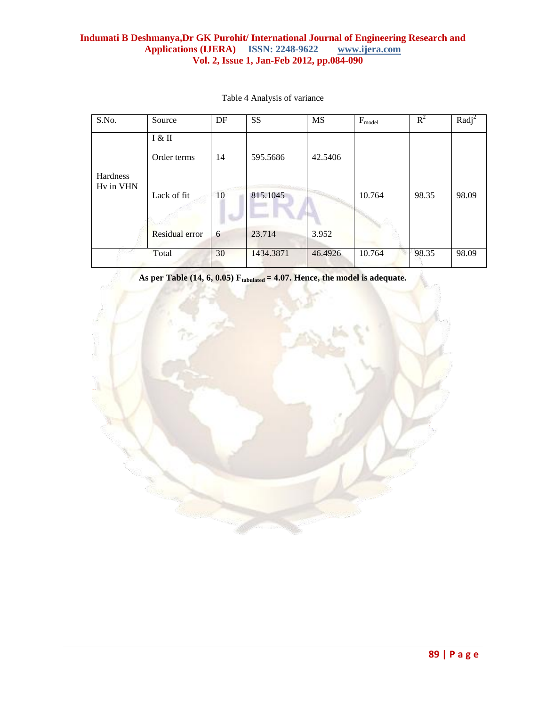### **Indumati B Deshmanya,Dr GK Purohit/ International Journal of Engineering Research and Applications (IJERA)** ISSN: 2248-9622 www.ijera.com Applications (IJERA) **ISSN: 2248-9622 Vol. 2, Issue 1, Jan-Feb 2012, pp.084-090**

| S.No.                 | Source                | DF | <b>SS</b> | <b>MS</b> | $F_{model}$ | $R^2$ | $Radj^2$ |
|-----------------------|-----------------------|----|-----------|-----------|-------------|-------|----------|
|                       | I & II                |    |           |           |             |       |          |
|                       | Order terms           | 14 | 595.5686  | 42.5406   |             |       |          |
| Hardness<br>Hy in VHN | Lack of fit           | 10 | 815.1045  |           | 10.764      | 98.35 | 98.09    |
|                       | <b>Residual error</b> | 6  | 23.714    | 3.952     |             |       |          |
|                       | Total                 | 30 | 1434.3871 | 46.4926   | 10.764      | 98.35 | 98.09    |

Table 4 Analysis of variance

**As per Table (14, 6, 0.05) Ftabulated = 4.07. Hence, the model is adequate.**